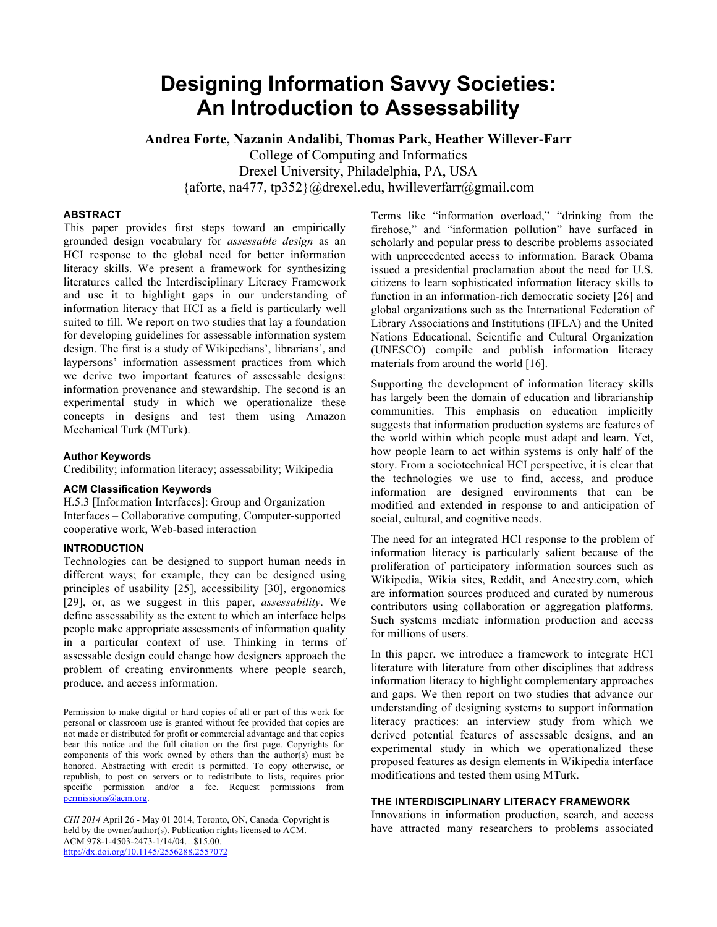# **Designing Information Savvy Societies: An Introduction to Assessability**

**Andrea Forte, Nazanin Andalibi, Thomas Park, Heather Willever-Farr** College of Computing and Informatics Drexel University, Philadelphia, PA, USA {aforte, na477, tp352}@drexel.edu, hwilleverfarr@gmail.com

# **ABSTRACT**

This paper provides first steps toward an empirically grounded design vocabulary for *assessable design* as an HCI response to the global need for better information literacy skills. We present a framework for synthesizing literatures called the Interdisciplinary Literacy Framework and use it to highlight gaps in our understanding of information literacy that HCI as a field is particularly well suited to fill. We report on two studies that lay a foundation for developing guidelines for assessable information system design. The first is a study of Wikipedians', librarians', and laypersons' information assessment practices from which we derive two important features of assessable designs: information provenance and stewardship. The second is an experimental study in which we operationalize these concepts in designs and test them using Amazon Mechanical Turk (MTurk).

#### **Author Keywords**

Credibility; information literacy; assessability; Wikipedia

## **ACM Classification Keywords**

H.5.3 [Information Interfaces]: Group and Organization Interfaces – Collaborative computing, Computer-supported cooperative work, Web-based interaction

# **INTRODUCTION**

Technologies can be designed to support human needs in different ways; for example, they can be designed using principles of usability [25], accessibility [30], ergonomics [29], or, as we suggest in this paper, *assessability*. We define assessability as the extent to which an interface helps people make appropriate assessments of information quality in a particular context of use. Thinking in terms of assessable design could change how designers approach the problem of creating environments where people search, produce, and access information.

Permission to make digital or hard copies of all or part of this work for personal or classroom use is granted without fee provided that copies are not made or distributed for profit or commercial advantage and that copies bear this notice and the full citation on the first page. Copyrights for components of this work owned by others than the author(s) must be honored. Abstracting with credit is permitted. To copy otherwise, or republish, to post on servers or to redistribute to lists, requires prior specific permission and/or a fee. Request permissions from permissions@acm.org.

*CHI 2014* April 26 - May 01 2014, Toronto, ON, Canada. Copyright is held by the owner/author(s). Publication rights licensed to ACM. ACM 978-1-4503-2473-1/14/04…\$15.00. http://dx.doi.org/10.1145/2556288.2557072

Terms like "information overload," "drinking from the firehose," and "information pollution" have surfaced in scholarly and popular press to describe problems associated with unprecedented access to information. Barack Obama issued a presidential proclamation about the need for U.S. citizens to learn sophisticated information literacy skills to function in an information-rich democratic society [26] and global organizations such as the International Federation of Library Associations and Institutions (IFLA) and the United Nations Educational, Scientific and Cultural Organization (UNESCO) compile and publish information literacy materials from around the world [16].

Supporting the development of information literacy skills has largely been the domain of education and librarianship communities. This emphasis on education implicitly suggests that information production systems are features of the world within which people must adapt and learn. Yet, how people learn to act within systems is only half of the story. From a sociotechnical HCI perspective, it is clear that the technologies we use to find, access, and produce information are designed environments that can be modified and extended in response to and anticipation of social, cultural, and cognitive needs.

The need for an integrated HCI response to the problem of information literacy is particularly salient because of the proliferation of participatory information sources such as Wikipedia, Wikia sites, Reddit, and Ancestry.com, which are information sources produced and curated by numerous contributors using collaboration or aggregation platforms. Such systems mediate information production and access for millions of users.

In this paper, we introduce a framework to integrate HCI literature with literature from other disciplines that address information literacy to highlight complementary approaches and gaps. We then report on two studies that advance our understanding of designing systems to support information literacy practices: an interview study from which we derived potential features of assessable designs, and an experimental study in which we operationalized these proposed features as design elements in Wikipedia interface modifications and tested them using MTurk.

# **THE INTERDISCIPLINARY LITERACY FRAMEWORK**

Innovations in information production, search, and access have attracted many researchers to problems associated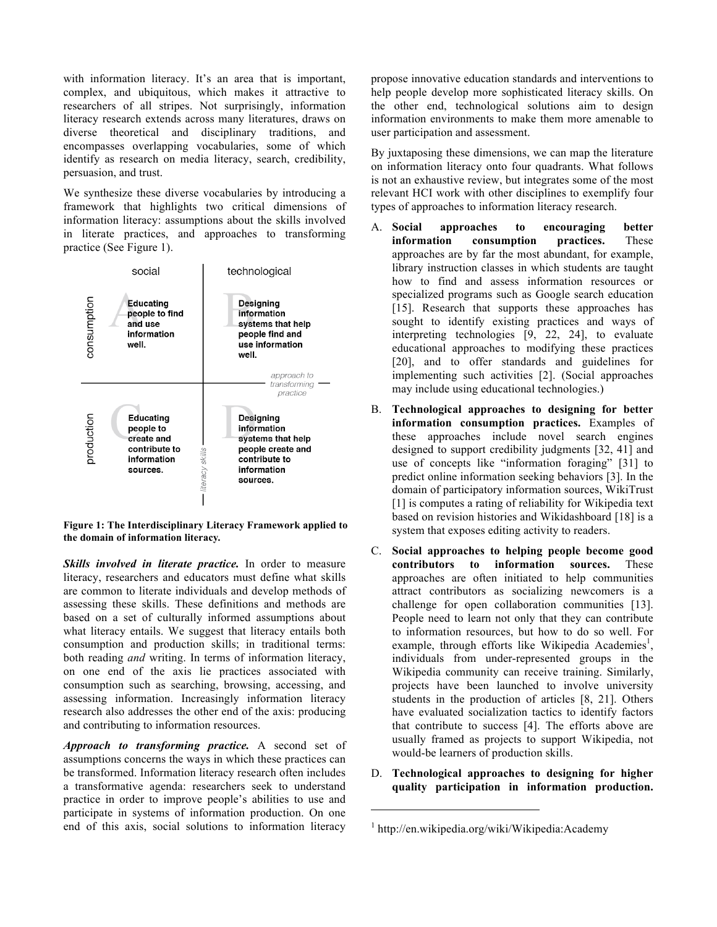with information literacy. It's an area that is important, complex, and ubiquitous, which makes it attractive to researchers of all stripes. Not surprisingly, information literacy research extends across many literatures, draws on diverse theoretical and disciplinary traditions, and encompasses overlapping vocabularies, some of which identify as research on media literacy, search, credibility, persuasion, and trust.

We synthesize these diverse vocabularies by introducing a framework that highlights two critical dimensions of information literacy: assumptions about the skills involved in literate practices, and approaches to transforming practice (See Figure 1).



**Figure 1: The Interdisciplinary Literacy Framework applied to the domain of information literacy***.*

*Skills involved in literate practice.* In order to measure literacy, researchers and educators must define what skills are common to literate individuals and develop methods of assessing these skills. These definitions and methods are based on a set of culturally informed assumptions about what literacy entails. We suggest that literacy entails both consumption and production skills; in traditional terms: both reading *and* writing. In terms of information literacy, on one end of the axis lie practices associated with consumption such as searching, browsing, accessing, and assessing information. Increasingly information literacy research also addresses the other end of the axis: producing and contributing to information resources.

*Approach to transforming practice.* A second set of assumptions concerns the ways in which these practices can be transformed. Information literacy research often includes a transformative agenda: researchers seek to understand practice in order to improve people's abilities to use and participate in systems of information production. On one end of this axis, social solutions to information literacy propose innovative education standards and interventions to help people develop more sophisticated literacy skills. On the other end, technological solutions aim to design information environments to make them more amenable to user participation and assessment.

By juxtaposing these dimensions, we can map the literature on information literacy onto four quadrants. What follows is not an exhaustive review, but integrates some of the most relevant HCI work with other disciplines to exemplify four types of approaches to information literacy research.

- A. **Social approaches to encouraging better information consumption practices.** These approaches are by far the most abundant, for example, library instruction classes in which students are taught how to find and assess information resources or specialized programs such as Google search education [15]. Research that supports these approaches has sought to identify existing practices and ways of interpreting technologies [9, 22, 24], to evaluate educational approaches to modifying these practices [20], and to offer standards and guidelines for implementing such activities [2]. (Social approaches may include using educational technologies.)
- B. **Technological approaches to designing for better information consumption practices.** Examples of these approaches include novel search engines designed to support credibility judgments [32, 41] and use of concepts like "information foraging" [31] to predict online information seeking behaviors [3]. In the domain of participatory information sources, WikiTrust [1] is computes a rating of reliability for Wikipedia text based on revision histories and Wikidashboard [18] is a system that exposes editing activity to readers.
- C. **Social approaches to helping people become good contributors to information sources.** These approaches are often initiated to help communities attract contributors as socializing newcomers is a challenge for open collaboration communities [13]. People need to learn not only that they can contribute to information resources, but how to do so well. For example, through efforts like Wikipedia Academies<sup>1</sup>, individuals from under-represented groups in the Wikipedia community can receive training. Similarly, projects have been launched to involve university students in the production of articles [8, 21]. Others have evaluated socialization tactics to identify factors that contribute to success [4]. The efforts above are usually framed as projects to support Wikipedia, not would-be learners of production skills.
- D. **Technological approaches to designing for higher quality participation in information production.**

 $\overline{a}$ 

<sup>1</sup> http://en.wikipedia.org/wiki/Wikipedia:Academy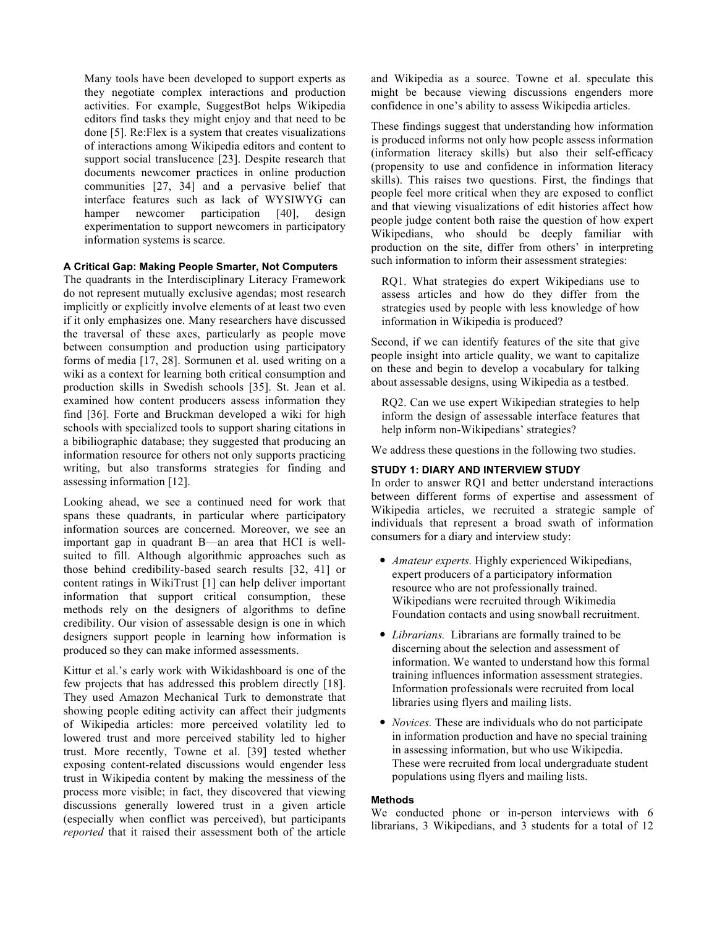Many tools have been developed to support experts as they negotiate complex interactions and production activities. For example, SuggestBot helps Wikipedia editors find tasks they might enjoy and that need to be done [5]. Re:Flex is a system that creates visualizations of interactions among Wikipedia editors and content to support social translucence [23]. Despite research that documents newcomer practices in online production communities [27, 34] and a pervasive belief that interface features such as lack of WYSIWYG can hamper newcomer participation [40], design experimentation to support newcomers in participatory information systems is scarce.

# **A Critical Gap: Making People Smarter, Not Computers**

The quadrants in the Interdisciplinary Literacy Framework do not represent mutually exclusive agendas; most research implicitly or explicitly involve elements of at least two even if it only emphasizes one. Many researchers have discussed the traversal of these axes, particularly as people move between consumption and production using participatory forms of media [17, 28]. Sormunen et al. used writing on a wiki as a context for learning both critical consumption and production skills in Swedish schools [35]. St. Jean et al. examined how content producers assess information they find [36]. Forte and Bruckman developed a wiki for high schools with specialized tools to support sharing citations in a bibiliographic database; they suggested that producing an information resource for others not only supports practicing writing, but also transforms strategies for finding and assessing information [12].

Looking ahead, we see a continued need for work that spans these quadrants, in particular where participatory information sources are concerned. Moreover, we see an important gap in quadrant B—an area that HCI is wellsuited to fill. Although algorithmic approaches such as those behind credibility-based search results [32, 41] or content ratings in WikiTrust [1] can help deliver important information that support critical consumption, these methods rely on the designers of algorithms to define credibility. Our vision of assessable design is one in which designers support people in learning how information is produced so they can make informed assessments.

Kittur et al.'s early work with Wikidashboard is one of the few projects that has addressed this problem directly [18]. They used Amazon Mechanical Turk to demonstrate that showing people editing activity can affect their judgments of Wikipedia articles: more perceived volatility led to lowered trust and more perceived stability led to higher trust. More recently, Towne et al. [39] tested whether exposing content-related discussions would engender less trust in Wikipedia content by making the messiness of the process more visible; in fact, they discovered that viewing discussions generally lowered trust in a given article (especially when conflict was perceived), but participants *reported* that it raised their assessment both of the article

and Wikipedia as a source. Towne et al. speculate this might be because viewing discussions engenders more confidence in one's ability to assess Wikipedia articles.

These findings suggest that understanding how information is produced informs not only how people assess information (information literacy skills) but also their self-efficacy (propensity to use and confidence in information literacy skills). This raises two questions. First, the findings that people feel more critical when they are exposed to conflict and that viewing visualizations of edit histories affect how people judge content both raise the question of how expert Wikipedians, who should be deeply familiar with production on the site, differ from others' in interpreting such information to inform their assessment strategies:

RQ1. What strategies do expert Wikipedians use to assess articles and how do they differ from the strategies used by people with less knowledge of how information in Wikipedia is produced?

Second, if we can identify features of the site that give people insight into article quality, we want to capitalize on these and begin to develop a vocabulary for talking about assessable designs, using Wikipedia as a testbed.

RQ2. Can we use expert Wikipedian strategies to help inform the design of assessable interface features that help inform non-Wikipedians' strategies?

We address these questions in the following two studies.

## **STUDY 1: DIARY AND INTERVIEW STUDY**

In order to answer RQ1 and better understand interactions between different forms of expertise and assessment of Wikipedia articles, we recruited a strategic sample of individuals that represent a broad swath of information consumers for a diary and interview study:

- *Amateur experts.* Highly experienced Wikipedians, expert producers of a participatory information resource who are not professionally trained. Wikipedians were recruited through Wikimedia Foundation contacts and using snowball recruitment.
- *Librarians.* Librarians are formally trained to be discerning about the selection and assessment of information. We wanted to understand how this formal training influences information assessment strategies. Information professionals were recruited from local libraries using flyers and mailing lists.
- *Novices.* These are individuals who do not participate in information production and have no special training in assessing information, but who use Wikipedia. These were recruited from local undergraduate student populations using flyers and mailing lists.

## **Methods**

We conducted phone or in-person interviews with 6 librarians, 3 Wikipedians, and 3 students for a total of 12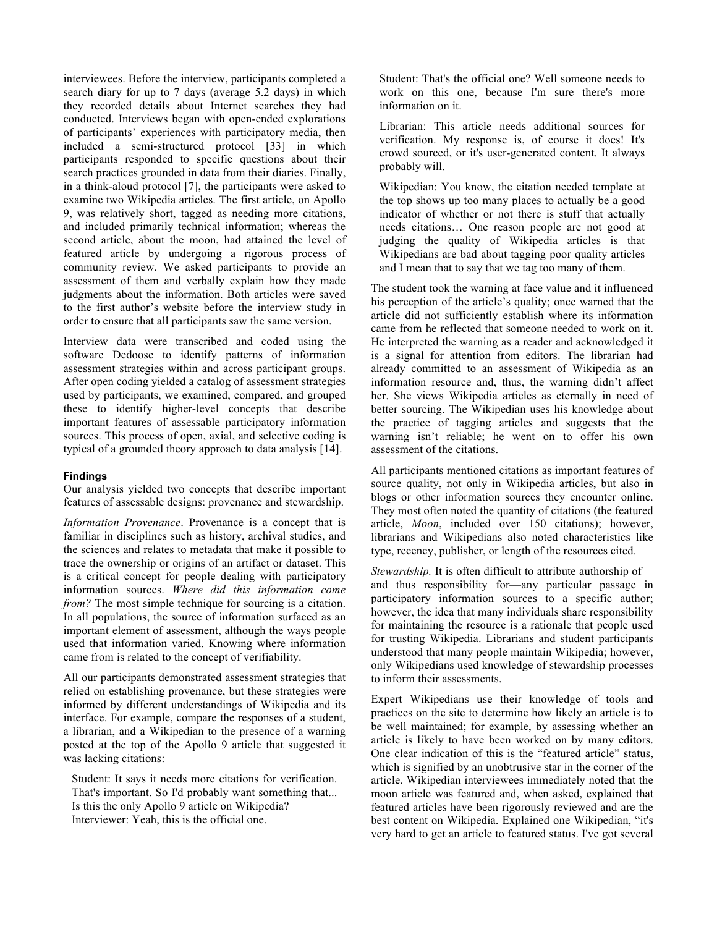interviewees. Before the interview, participants completed a search diary for up to 7 days (average 5.2 days) in which they recorded details about Internet searches they had conducted. Interviews began with open-ended explorations of participants' experiences with participatory media, then included a semi-structured protocol [33] in which participants responded to specific questions about their search practices grounded in data from their diaries. Finally, in a think-aloud protocol [7], the participants were asked to examine two Wikipedia articles. The first article, on Apollo 9, was relatively short, tagged as needing more citations, and included primarily technical information; whereas the second article, about the moon, had attained the level of featured article by undergoing a rigorous process of community review. We asked participants to provide an assessment of them and verbally explain how they made judgments about the information. Both articles were saved to the first author's website before the interview study in order to ensure that all participants saw the same version.

Interview data were transcribed and coded using the software Dedoose to identify patterns of information assessment strategies within and across participant groups. After open coding yielded a catalog of assessment strategies used by participants, we examined, compared, and grouped these to identify higher-level concepts that describe important features of assessable participatory information sources. This process of open, axial, and selective coding is typical of a grounded theory approach to data analysis [14].

## **Findings**

Our analysis yielded two concepts that describe important features of assessable designs: provenance and stewardship.

*Information Provenance*. Provenance is a concept that is familiar in disciplines such as history, archival studies, and the sciences and relates to metadata that make it possible to trace the ownership or origins of an artifact or dataset. This is a critical concept for people dealing with participatory information sources. *Where did this information come from?* The most simple technique for sourcing is a citation. In all populations, the source of information surfaced as an important element of assessment, although the ways people used that information varied. Knowing where information came from is related to the concept of verifiability.

All our participants demonstrated assessment strategies that relied on establishing provenance, but these strategies were informed by different understandings of Wikipedia and its interface. For example, compare the responses of a student, a librarian, and a Wikipedian to the presence of a warning posted at the top of the Apollo 9 article that suggested it was lacking citations:

Student: It says it needs more citations for verification. That's important. So I'd probably want something that... Is this the only Apollo 9 article on Wikipedia? Interviewer: Yeah, this is the official one.

Student: That's the official one? Well someone needs to work on this one, because I'm sure there's more information on it.

Librarian: This article needs additional sources for verification. My response is, of course it does! It's crowd sourced, or it's user-generated content. It always probably will.

Wikipedian: You know, the citation needed template at the top shows up too many places to actually be a good indicator of whether or not there is stuff that actually needs citations… One reason people are not good at judging the quality of Wikipedia articles is that Wikipedians are bad about tagging poor quality articles and I mean that to say that we tag too many of them.

The student took the warning at face value and it influenced his perception of the article's quality; once warned that the article did not sufficiently establish where its information came from he reflected that someone needed to work on it. He interpreted the warning as a reader and acknowledged it is a signal for attention from editors. The librarian had already committed to an assessment of Wikipedia as an information resource and, thus, the warning didn't affect her. She views Wikipedia articles as eternally in need of better sourcing. The Wikipedian uses his knowledge about the practice of tagging articles and suggests that the warning isn't reliable; he went on to offer his own assessment of the citations.

All participants mentioned citations as important features of source quality, not only in Wikipedia articles, but also in blogs or other information sources they encounter online. They most often noted the quantity of citations (the featured article, *Moon*, included over 150 citations); however, librarians and Wikipedians also noted characteristics like type, recency, publisher, or length of the resources cited.

*Stewardship.* It is often difficult to attribute authorship of and thus responsibility for—any particular passage in participatory information sources to a specific author; however, the idea that many individuals share responsibility for maintaining the resource is a rationale that people used for trusting Wikipedia. Librarians and student participants understood that many people maintain Wikipedia; however, only Wikipedians used knowledge of stewardship processes to inform their assessments.

Expert Wikipedians use their knowledge of tools and practices on the site to determine how likely an article is to be well maintained; for example, by assessing whether an article is likely to have been worked on by many editors. One clear indication of this is the "featured article" status, which is signified by an unobtrusive star in the corner of the article. Wikipedian interviewees immediately noted that the moon article was featured and, when asked, explained that featured articles have been rigorously reviewed and are the best content on Wikipedia. Explained one Wikipedian, "it's very hard to get an article to featured status. I've got several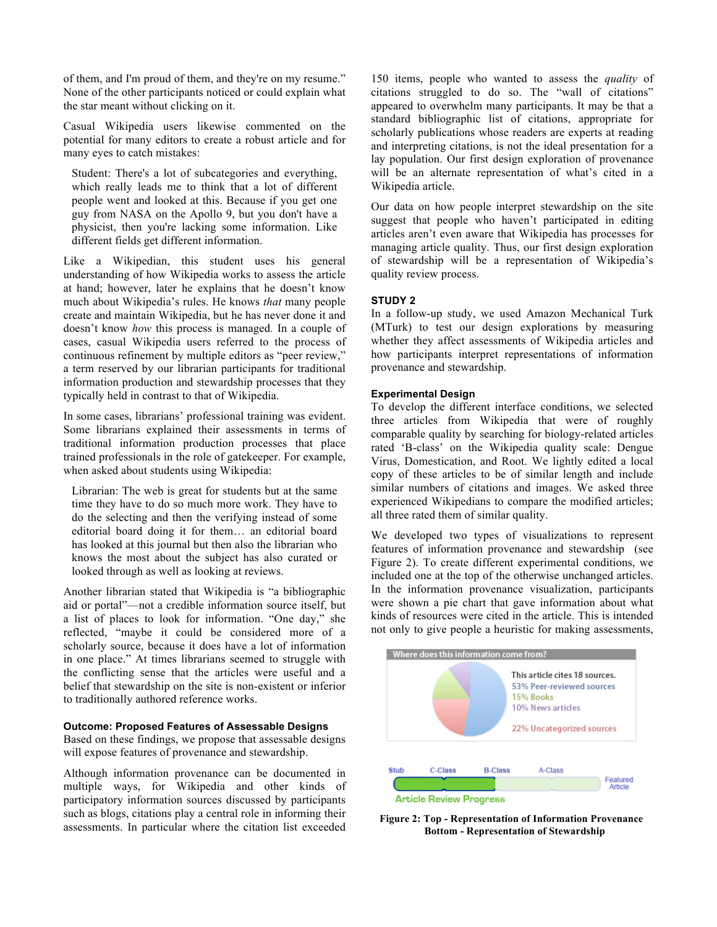of them, and I'm proud of them, and they're on my resume." None of the other participants noticed or could explain what the star meant without clicking on it.

Casual Wikipedia users likewise commented on the potential for many editors to create a robust article and for many eyes to catch mistakes:

Student: There's a lot of subcategories and everything, which really leads me to think that a lot of different people went and looked at this. Because if you get one guy from NASA on the Apollo 9, but you don't have a physicist, then you're lacking some information. Like different fields get different information.

Like a Wikipedian, this student uses his general understanding of how Wikipedia works to assess the article at hand; however, later he explains that he doesn't know much about Wikipedia's rules. He knows *that* many people create and maintain Wikipedia, but he has never done it and doesn't know *how* this process is managed*.* In a couple of cases, casual Wikipedia users referred to the process of continuous refinement by multiple editors as "peer review," a term reserved by our librarian participants for traditional information production and stewardship processes that they typically held in contrast to that of Wikipedia.

In some cases, librarians' professional training was evident. Some librarians explained their assessments in terms of traditional information production processes that place trained professionals in the role of gatekeeper. For example, when asked about students using Wikipedia:

Librarian: The web is great for students but at the same time they have to do so much more work. They have to do the selecting and then the verifying instead of some editorial board doing it for them… an editorial board has looked at this journal but then also the librarian who knows the most about the subject has also curated or looked through as well as looking at reviews.

Another librarian stated that Wikipedia is "a bibliographic aid or portal"—not a credible information source itself, but a list of places to look for information. "One day," she reflected, "maybe it could be considered more of a scholarly source, because it does have a lot of information in one place." At times librarians seemed to struggle with the conflicting sense that the articles were useful and a belief that stewardship on the site is non-existent or inferior to traditionally authored reference works.

#### **Outcome: Proposed Features of Assessable Designs**

Based on these findings, we propose that assessable designs will expose features of provenance and stewardship.

Although information provenance can be documented in multiple ways, for Wikipedia and other kinds of participatory information sources discussed by participants such as blogs, citations play a central role in informing their assessments. In particular where the citation list exceeded

150 items, people who wanted to assess the *quality* of citations struggled to do so. The "wall of citations" appeared to overwhelm many participants. It may be that a standard bibliographic list of citations, appropriate for scholarly publications whose readers are experts at reading and interpreting citations, is not the ideal presentation for a lay population. Our first design exploration of provenance will be an alternate representation of what's cited in a Wikipedia article.

Our data on how people interpret stewardship on the site suggest that people who haven't participated in editing articles aren't even aware that Wikipedia has processes for managing article quality. Thus, our first design exploration of stewardship will be a representation of Wikipedia's quality review process.

## **STUDY 2**

In a follow-up study, we used Amazon Mechanical Turk (MTurk) to test our design explorations by measuring whether they affect assessments of Wikipedia articles and how participants interpret representations of information provenance and stewardship.

# **Experimental Design**

To develop the different interface conditions, we selected three articles from Wikipedia that were of roughly comparable quality by searching for biology-related articles rated 'B-class' on the Wikipedia quality scale: Dengue Virus, Domestication, and Root. We lightly edited a local copy of these articles to be of similar length and include similar numbers of citations and images. We asked three experienced Wikipedians to compare the modified articles; all three rated them of similar quality.

We developed two types of visualizations to represent features of information provenance and stewardship (see Figure 2). To create different experimental conditions, we included one at the top of the otherwise unchanged articles. In the information provenance visualization, participants were shown a pie chart that gave information about what kinds of resources were cited in the article. This is intended not only to give people a heuristic for making assessments,



 **Figure 2: Top - Representation of Information Provenance Bottom - Representation of Stewardship**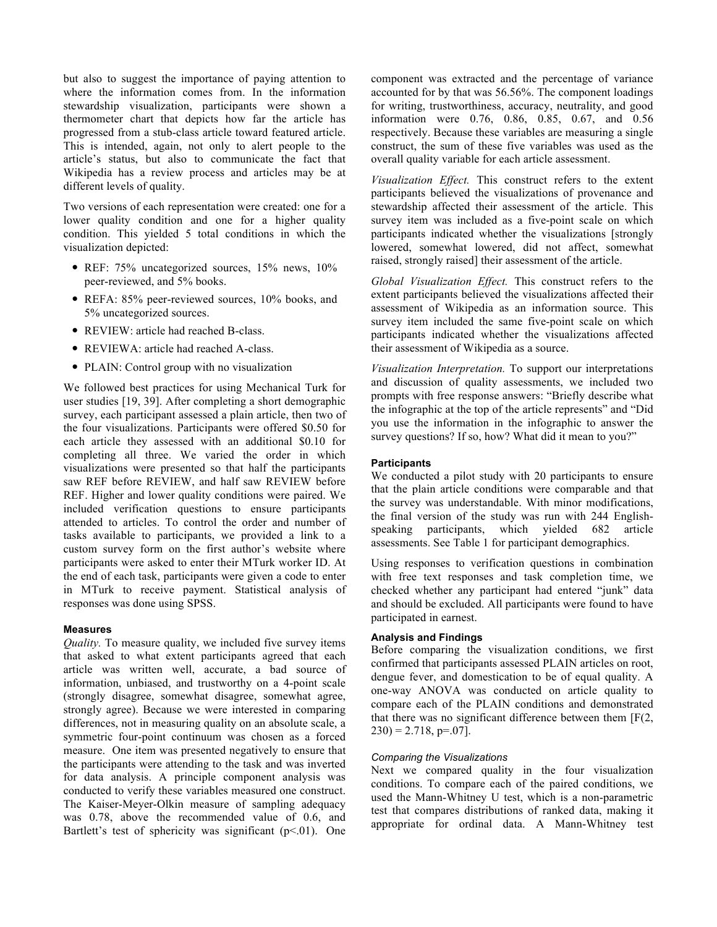but also to suggest the importance of paying attention to where the information comes from. In the information stewardship visualization, participants were shown a thermometer chart that depicts how far the article has progressed from a stub-class article toward featured article. This is intended, again, not only to alert people to the article's status, but also to communicate the fact that Wikipedia has a review process and articles may be at different levels of quality.

Two versions of each representation were created: one for a lower quality condition and one for a higher quality condition. This yielded 5 total conditions in which the visualization depicted:

- REF: 75% uncategorized sources, 15% news, 10% peer-reviewed, and 5% books.
- REFA: 85% peer-reviewed sources, 10% books, and 5% uncategorized sources.
- REVIEW: article had reached B-class.
- REVIEWA: article had reached A-class.
- PLAIN: Control group with no visualization

We followed best practices for using Mechanical Turk for user studies [19, 39]. After completing a short demographic survey, each participant assessed a plain article, then two of the four visualizations. Participants were offered \$0.50 for each article they assessed with an additional \$0.10 for completing all three. We varied the order in which visualizations were presented so that half the participants saw REF before REVIEW, and half saw REVIEW before REF. Higher and lower quality conditions were paired. We included verification questions to ensure participants attended to articles. To control the order and number of tasks available to participants, we provided a link to a custom survey form on the first author's website where participants were asked to enter their MTurk worker ID. At the end of each task, participants were given a code to enter in MTurk to receive payment. Statistical analysis of responses was done using SPSS.

## **Measures**

*Quality*. To measure quality, we included five survey items that asked to what extent participants agreed that each article was written well, accurate, a bad source of information, unbiased, and trustworthy on a 4-point scale (strongly disagree, somewhat disagree, somewhat agree, strongly agree). Because we were interested in comparing differences, not in measuring quality on an absolute scale, a symmetric four-point continuum was chosen as a forced measure. One item was presented negatively to ensure that the participants were attending to the task and was inverted for data analysis. A principle component analysis was conducted to verify these variables measured one construct. The Kaiser-Meyer-Olkin measure of sampling adequacy was 0.78, above the recommended value of 0.6, and Bartlett's test of sphericity was significant  $(p<0.01)$ . One

component was extracted and the percentage of variance accounted for by that was 56.56%. The component loadings for writing, trustworthiness, accuracy, neutrality, and good information were 0.76, 0.86, 0.85, 0.67, and 0.56 respectively. Because these variables are measuring a single construct, the sum of these five variables was used as the overall quality variable for each article assessment.

*Visualization Effect.* This construct refers to the extent participants believed the visualizations of provenance and stewardship affected their assessment of the article. This survey item was included as a five-point scale on which participants indicated whether the visualizations [strongly lowered, somewhat lowered, did not affect, somewhat raised, strongly raised] their assessment of the article.

*Global Visualization Effect.* This construct refers to the extent participants believed the visualizations affected their assessment of Wikipedia as an information source. This survey item included the same five-point scale on which participants indicated whether the visualizations affected their assessment of Wikipedia as a source.

*Visualization Interpretation.* To support our interpretations and discussion of quality assessments, we included two prompts with free response answers: "Briefly describe what the infographic at the top of the article represents" and "Did you use the information in the infographic to answer the survey questions? If so, how? What did it mean to you?"

#### **Participants**

We conducted a pilot study with 20 participants to ensure that the plain article conditions were comparable and that the survey was understandable. With minor modifications, the final version of the study was run with 244 Englishspeaking participants, which yielded 682 article assessments. See Table 1 for participant demographics.

Using responses to verification questions in combination with free text responses and task completion time, we checked whether any participant had entered "junk" data and should be excluded. All participants were found to have participated in earnest.

# **Analysis and Findings**

Before comparing the visualization conditions, we first confirmed that participants assessed PLAIN articles on root, dengue fever, and domestication to be of equal quality. A one-way ANOVA was conducted on article quality to compare each of the PLAIN conditions and demonstrated that there was no significant difference between them  $[F(2, \cdot)]$  $230$ ) = 2.718, p=.07].

## *Comparing the Visualizations*

Next we compared quality in the four visualization conditions. To compare each of the paired conditions, we used the Mann-Whitney U test, which is a non-parametric test that compares distributions of ranked data, making it appropriate for ordinal data. A Mann-Whitney test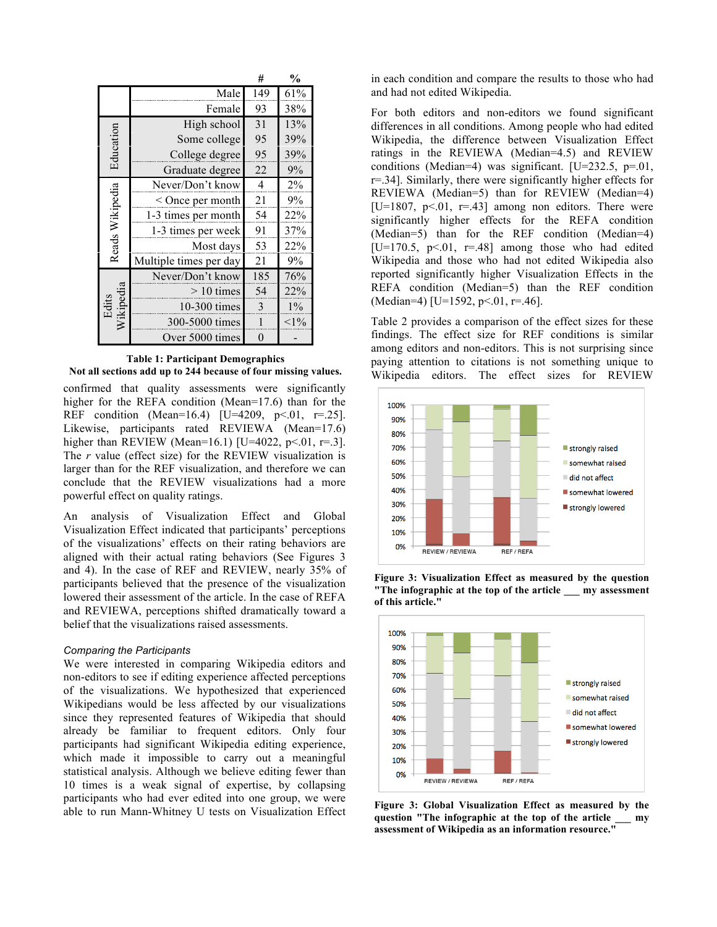|                        |                        | #              | $\frac{0}{0}$ |
|------------------------|------------------------|----------------|---------------|
|                        | Male                   | 149            | 61%           |
|                        | Female                 | 93             | 38%           |
| Education              | High school            | 31             | 13%           |
|                        | Some college           | 95             | 39%           |
|                        | College degree         | 95             | 39%           |
|                        | Graduate degree        | 22             | 9%            |
| Reads Wikipedia        | Never/Don't know       | $\overline{4}$ | 2%            |
|                        | $<$ Once per month     | 21             | 9%            |
|                        | 1-3 times per month    | 54             | 22%           |
|                        | 1-3 times per week     | 91             | 37%           |
|                        | Most days              | 53             | 22%           |
|                        | Multiple times per day | 21             | 9%            |
| $N_1$ kipedia<br>Edits | Never/Don't know       | 185            | 76%           |
|                        | $>10$ times            | 54             | 22%           |
|                        | 10-300 times           | 3              | $1\%$         |
|                        | 300-5000 times         | 1              | $<1\%$        |
|                        | Over 5000 times        | $\Omega$       |               |

#### **Table 1: Participant Demographics**

**Not all sections add up to 244 because of four missing values.**

confirmed that quality assessments were significantly higher for the REFA condition (Mean=17.6) than for the REF condition (Mean=16.4) [U=4209, p <. 01, r = .25]. Likewise, participants rated REVIEWA (Mean=17.6) higher than REVIEW (Mean=16.1) [U=4022, p<.01, r=.3]. The *r* value (effect size) for the REVIEW visualization is larger than for the REF visualization, and therefore we can conclude that the REVIEW visualizations had a more powerful effect on quality ratings.

An analysis of Visualization Effect and Global Visualization Effect indicated that participants' perceptions of the visualizations' effects on their rating behaviors are aligned with their actual rating behaviors (See Figures 3 and 4). In the case of REF and REVIEW, nearly 35% of participants believed that the presence of the visualization lowered their assessment of the article. In the case of REFA and REVIEWA, perceptions shifted dramatically toward a belief that the visualizations raised assessments.

#### *Comparing the Participants*

We were interested in comparing Wikipedia editors and non-editors to see if editing experience affected perceptions of the visualizations. We hypothesized that experienced Wikipedians would be less affected by our visualizations since they represented features of Wikipedia that should already be familiar to frequent editors. Only four participants had significant Wikipedia editing experience, which made it impossible to carry out a meaningful statistical analysis. Although we believe editing fewer than 10 times is a weak signal of expertise, by collapsing participants who had ever edited into one group, we were able to run Mann-Whitney U tests on Visualization Effect

in each condition and compare the results to those who had and had not edited Wikipedia.

For both editors and non-editors we found significant differences in all conditions. Among people who had edited Wikipedia, the difference between Visualization Effect ratings in the REVIEWA (Median=4.5) and REVIEW conditions (Median=4) was significant. [U=232.5, p=.01, r=.34]. Similarly, there were significantly higher effects for REVIEWA (Median=5) than for REVIEW (Median=4) [U=1807,  $p<01$ ,  $r=.43$ ] among non editors. There were significantly higher effects for the REFA condition (Median=5) than for the REF condition (Median=4)  $[U=170.5, p<0.01, r=.48]$  among those who had edited Wikipedia and those who had not edited Wikipedia also reported significantly higher Visualization Effects in the REFA condition (Median=5) than the REF condition (Median=4) [U=1592, p<.01, r=.46].

Table 2 provides a comparison of the effect sizes for these findings. The effect size for REF conditions is similar among editors and non-editors. This is not surprising since paying attention to citations is not something unique to Wikipedia editors. The effect sizes for REVIEW







**Figure 3: Global Visualization Effect as measured by the question "The infographic at the top of the article \_\_\_ my assessment of Wikipedia as an information resource."**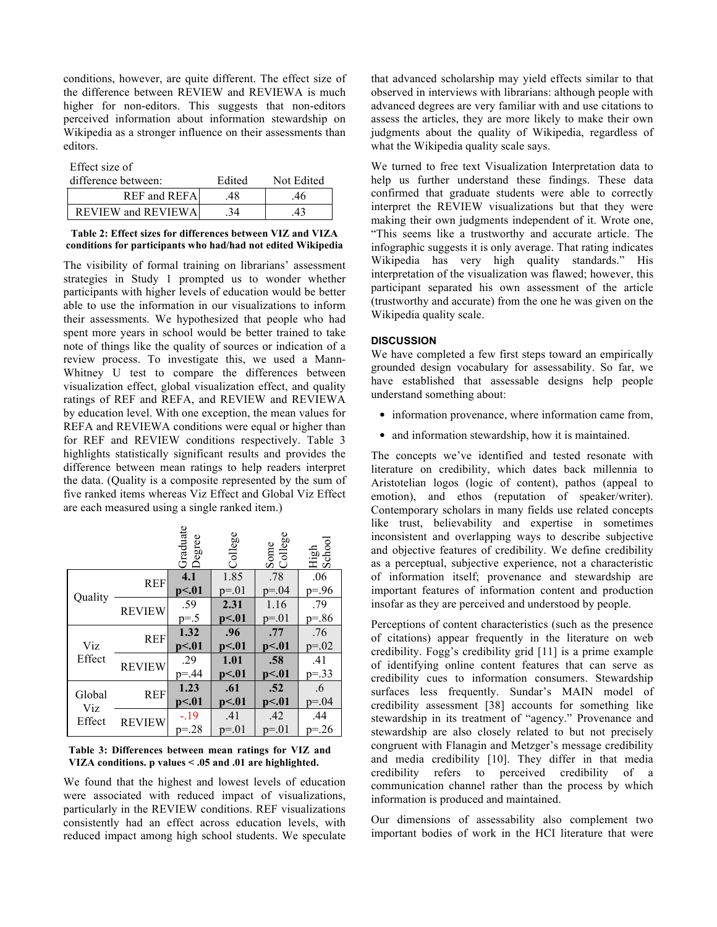conditions, however, are quite different. The effect size of the difference between REVIEW and REVIEWA is much higher for non-editors. This suggests that non-editors perceived information about information stewardship on Wikipedia as a stronger influence on their assessments than editors.

Effect size of

| difference between:         | Edited | Not Edited |  |
|-----------------------------|--------|------------|--|
| <b>REF</b> and <b>REFAI</b> | 48     | 46         |  |
| <b>REVIEW and REVIEWAL</b>  | 34     | 43         |  |

**Table 2: Effect sizes for differences between VIZ and VIZA conditions for participants who had/had not edited Wikipedia**

The visibility of formal training on librarians' assessment strategies in Study 1 prompted us to wonder whether participants with higher levels of education would be better able to use the information in our visualizations to inform their assessments. We hypothesized that people who had spent more years in school would be better trained to take note of things like the quality of sources or indication of a review process. To investigate this, we used a Mann-Whitney U test to compare the differences between visualization effect, global visualization effect, and quality ratings of REF and REFA, and REVIEW and REVIEWA by education level. With one exception, the mean values for REFA and REVIEWA conditions were equal or higher than for REF and REVIEW conditions respectively. Table 3 highlights statistically significant results and provides the difference between mean ratings to help readers interpret the data. (Quality is a composite represented by the sum of five ranked items whereas Viz Effect and Global Viz Effect are each measured using a single ranked item.)

|               |               | Graduate<br>egree | College          | Some<br>College   | High<br>School                |
|---------------|---------------|-------------------|------------------|-------------------|-------------------------------|
| Quality       | <b>REF</b>    | 4.1<br>p<.01      | 1.85<br>$p = 01$ | .78<br>$p = 0.04$ | .06<br>$p = 0.96$             |
|               | <b>REVIEW</b> | .59<br>$p = .5$   | 2.31<br>p<.01    | 1.16<br>$p = 01$  | .79<br>$p = 86$               |
| Viz<br>Effect | <b>REF</b>    | 1.32<br>p<.01     | .96<br>p<.01     | .77<br>p<.01      | .76<br>$p=.02$                |
|               | <b>REVIEW</b> | .29<br>$p = 44$   | 1.01<br>p<.01    | .58<br>p<.01      | .41<br>$p=.33$                |
| Global<br>Viz | <b>REF</b>    | 1.23<br>p<.01     | .61<br>p<.01     | .52<br>p<.01      | $.6\phantom{0}$<br>$p = 0.04$ |
| Effect        | <b>REVIEW</b> | $-19$<br>$p = 28$ | .41<br>$p = 01$  | .42<br>$p=01$     | .44<br>$p = 26$               |

#### **Table 3: Differences between mean ratings for VIZ and VIZA conditions. p values < .05 and .01 are highlighted.**

We found that the highest and lowest levels of education were associated with reduced impact of visualizations, particularly in the REVIEW conditions. REF visualizations consistently had an effect across education levels, with reduced impact among high school students. We speculate

that advanced scholarship may yield effects similar to that observed in interviews with librarians: although people with advanced degrees are very familiar with and use citations to assess the articles, they are more likely to make their own judgments about the quality of Wikipedia, regardless of what the Wikipedia quality scale says.

We turned to free text Visualization Interpretation data to help us further understand these findings. These data confirmed that graduate students were able to correctly interpret the REVIEW visualizations but that they were making their own judgments independent of it. Wrote one, "This seems like a trustworthy and accurate article. The infographic suggests it is only average. That rating indicates Wikipedia has very high quality standards." His interpretation of the visualization was flawed; however, this participant separated his own assessment of the article (trustworthy and accurate) from the one he was given on the Wikipedia quality scale.

# **DISCUSSION**

We have completed a few first steps toward an empirically grounded design vocabulary for assessability. So far, we have established that assessable designs help people understand something about:

- information provenance, where information came from,
- and information stewardship, how it is maintained.

The concepts we've identified and tested resonate with literature on credibility, which dates back millennia to Aristotelian logos (logic of content), pathos (appeal to emotion), and ethos (reputation of speaker/writer). Contemporary scholars in many fields use related concepts like trust, believability and expertise in sometimes inconsistent and overlapping ways to describe subjective and objective features of credibility. We define credibility as a perceptual, subjective experience, not a characteristic of information itself; provenance and stewardship are important features of information content and production insofar as they are perceived and understood by people.

Perceptions of content characteristics (such as the presence of citations) appear frequently in the literature on web credibility. Fogg's credibility grid [11] is a prime example of identifying online content features that can serve as credibility cues to information consumers. Stewardship surfaces less frequently. Sundar's MAIN model of credibility assessment [38] accounts for something like stewardship in its treatment of "agency." Provenance and stewardship are also closely related to but not precisely congruent with Flanagin and Metzger's message credibility and media credibility [10]. They differ in that media credibility refers to perceived credibility of a communication channel rather than the process by which information is produced and maintained.

Our dimensions of assessability also complement two important bodies of work in the HCI literature that were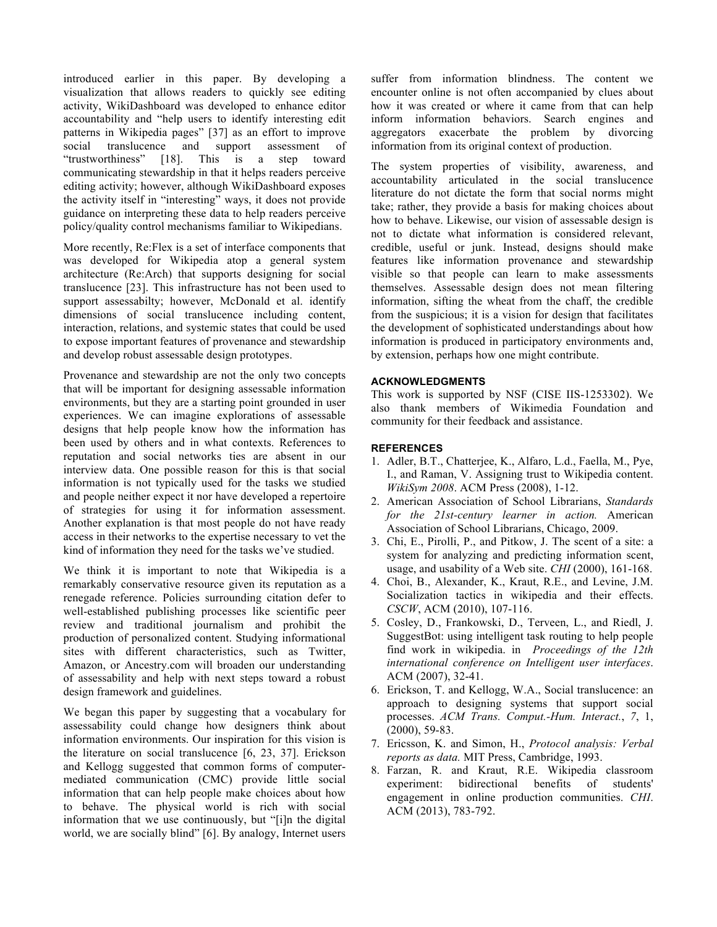introduced earlier in this paper. By developing a visualization that allows readers to quickly see editing activity, WikiDashboard was developed to enhance editor accountability and "help users to identify interesting edit patterns in Wikipedia pages" [37] as an effort to improve social translucence and support assessment of "trustworthiness" [18]. This is a step toward communicating stewardship in that it helps readers perceive editing activity; however, although WikiDashboard exposes the activity itself in "interesting" ways, it does not provide guidance on interpreting these data to help readers perceive policy/quality control mechanisms familiar to Wikipedians.

More recently, Re:Flex is a set of interface components that was developed for Wikipedia atop a general system architecture (Re:Arch) that supports designing for social translucence [23]. This infrastructure has not been used to support assessabilty; however, McDonald et al. identify dimensions of social translucence including content, interaction, relations, and systemic states that could be used to expose important features of provenance and stewardship and develop robust assessable design prototypes.

Provenance and stewardship are not the only two concepts that will be important for designing assessable information environments, but they are a starting point grounded in user experiences. We can imagine explorations of assessable designs that help people know how the information has been used by others and in what contexts. References to reputation and social networks ties are absent in our interview data. One possible reason for this is that social information is not typically used for the tasks we studied and people neither expect it nor have developed a repertoire of strategies for using it for information assessment. Another explanation is that most people do not have ready access in their networks to the expertise necessary to vet the kind of information they need for the tasks we've studied.

We think it is important to note that Wikipedia is a remarkably conservative resource given its reputation as a renegade reference. Policies surrounding citation defer to well-established publishing processes like scientific peer review and traditional journalism and prohibit the production of personalized content. Studying informational sites with different characteristics, such as Twitter, Amazon, or Ancestry.com will broaden our understanding of assessability and help with next steps toward a robust design framework and guidelines.

We began this paper by suggesting that a vocabulary for assessability could change how designers think about information environments. Our inspiration for this vision is the literature on social translucence [6, 23, 37]. Erickson and Kellogg suggested that common forms of computermediated communication (CMC) provide little social information that can help people make choices about how to behave. The physical world is rich with social information that we use continuously, but "[i]n the digital world, we are socially blind" [6]. By analogy, Internet users suffer from information blindness. The content we encounter online is not often accompanied by clues about how it was created or where it came from that can help inform information behaviors. Search engines and aggregators exacerbate the problem by divorcing information from its original context of production.

The system properties of visibility, awareness, and accountability articulated in the social translucence literature do not dictate the form that social norms might take; rather, they provide a basis for making choices about how to behave. Likewise, our vision of assessable design is not to dictate what information is considered relevant, credible, useful or junk. Instead, designs should make features like information provenance and stewardship visible so that people can learn to make assessments themselves. Assessable design does not mean filtering information, sifting the wheat from the chaff, the credible from the suspicious; it is a vision for design that facilitates the development of sophisticated understandings about how information is produced in participatory environments and, by extension, perhaps how one might contribute.

# **ACKNOWLEDGMENTS**

This work is supported by NSF (CISE IIS-1253302). We also thank members of Wikimedia Foundation and community for their feedback and assistance.

# **REFERENCES**

- 1. Adler, B.T., Chatterjee, K., Alfaro, L.d., Faella, M., Pye, I., and Raman, V. Assigning trust to Wikipedia content. *WikiSym 2008*. ACM Press (2008), 1-12.
- 2. American Association of School Librarians, *Standards for the 21st-century learner in action.* American Association of School Librarians, Chicago, 2009.
- 3. Chi, E., Pirolli, P., and Pitkow, J. The scent of a site: a system for analyzing and predicting information scent, usage, and usability of a Web site. *CHI* (2000), 161-168.
- 4. Choi, B., Alexander, K., Kraut, R.E., and Levine, J.M. Socialization tactics in wikipedia and their effects. *CSCW*, ACM (2010), 107-116.
- 5. Cosley, D., Frankowski, D., Terveen, L., and Riedl, J. SuggestBot: using intelligent task routing to help people find work in wikipedia. in *Proceedings of the 12th international conference on Intelligent user interfaces*. ACM (2007), 32-41.
- 6. Erickson, T. and Kellogg, W.A., Social translucence: an approach to designing systems that support social processes. *ACM Trans. Comput.-Hum. Interact.*, *7*, 1, (2000), 59-83.
- 7. Ericsson, K. and Simon, H., *Protocol analysis: Verbal reports as data.* MIT Press, Cambridge, 1993.
- 8. Farzan, R. and Kraut, R.E. Wikipedia classroom experiment: bidirectional benefits of students' engagement in online production communities. *CHI*. ACM (2013), 783-792.